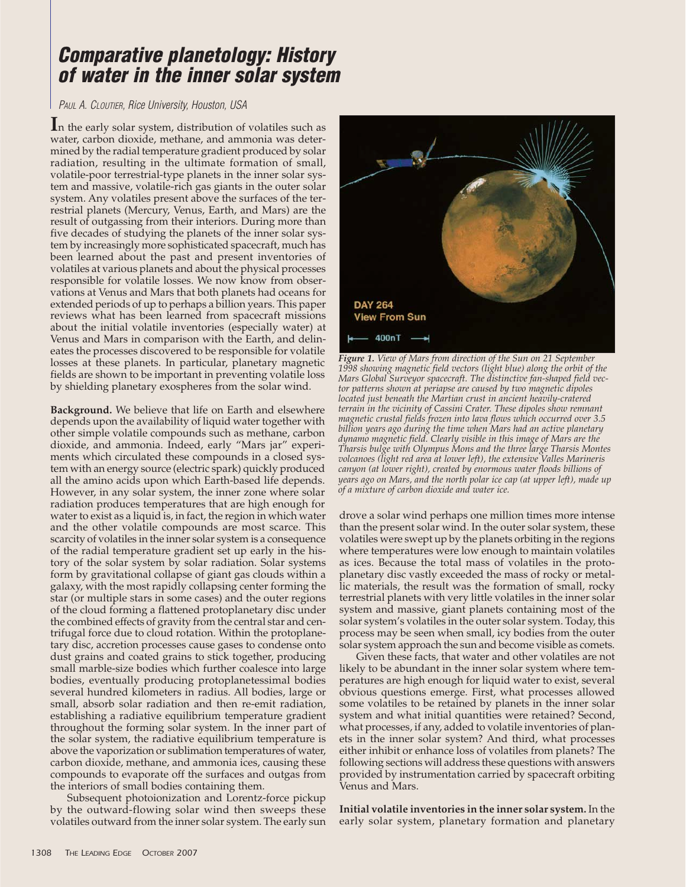## **Comparative planetology: History of water in the inner solar system**

## PAUL A. CLOUTIER, Rice University, Houston, USA

**I**n the early solar system, distribution of volatiles such as water, carbon dioxide, methane, and ammonia was determined by the radial temperature gradient produced by solar radiation, resulting in the ultimate formation of small, volatile-poor terrestrial-type planets in the inner solar system and massive, volatile-rich gas giants in the outer solar system. Any volatiles present above the surfaces of the terrestrial planets (Mercury, Venus, Earth, and Mars) are the result of outgassing from their interiors. During more than five decades of studying the planets of the inner solar system by increasingly more sophisticated spacecraft, much has been learned about the past and present inventories of volatiles at various planets and about the physical processes responsible for volatile losses. We now know from observations at Venus and Mars that both planets had oceans for extended periods of up to perhaps a billion years. This paper reviews what has been learned from spacecraft missions about the initial volatile inventories (especially water) at Venus and Mars in comparison with the Earth, and delineates the processes discovered to be responsible for volatile losses at these planets. In particular, planetary magnetic fields are shown to be important in preventing volatile loss by shielding planetary exospheres from the solar wind.

**Background.** We believe that life on Earth and elsewhere depends upon the availability of liquid water together with other simple volatile compounds such as methane, carbon dioxide, and ammonia. Indeed, early "Mars jar" experiments which circulated these compounds in a closed system with an energy source (electric spark) quickly produced all the amino acids upon which Earth-based life depends. However, in any solar system, the inner zone where solar radiation produces temperatures that are high enough for water to exist as a liquid is, in fact, the region in which water and the other volatile compounds are most scarce. This scarcity of volatiles in the inner solar system is a consequence of the radial temperature gradient set up early in the history of the solar system by solar radiation. Solar systems form by gravitational collapse of giant gas clouds within a galaxy, with the most rapidly collapsing center forming the star (or multiple stars in some cases) and the outer regions of the cloud forming a flattened protoplanetary disc under the combined effects of gravity from the central star and centrifugal force due to cloud rotation. Within the protoplanetary disc, accretion processes cause gases to condense onto dust grains and coated grains to stick together, producing small marble-size bodies which further coalesce into large bodies, eventually producing protoplanetessimal bodies several hundred kilometers in radius. All bodies, large or small, absorb solar radiation and then re-emit radiation, establishing a radiative equilibrium temperature gradient throughout the forming solar system. In the inner part of the solar system, the radiative equilibrium temperature is above the vaporization or sublimation temperatures of water, carbon dioxide, methane, and ammonia ices, causing these compounds to evaporate off the surfaces and outgas from the interiors of small bodies containing them.

Subsequent photoionization and Lorentz-force pickup by the outward-flowing solar wind then sweeps these volatiles outward from the inner solar system. The early sun



*Figure 1. View of Mars from direction of the Sun on 21 September 1998 showing magnetic field vectors (light blue) along the orbit of the Mars Global Surveyor spacecraft. The distinctive fan-shaped field vector patterns shown at periapse are caused by two magnetic dipoles located just beneath the Martian crust in ancient heavily-cratered terrain in the vicinity of Cassini Crater. These dipoles show remnant magnetic crustal fields frozen into lava flows which occurred over 3.5 billion years ago during the time when Mars had an active planetary dynamo magnetic field. Clearly visible in this image of Mars are the Tharsis bulge with Olympus Mons and the three large Tharsis Montes volcanoes (light red area at lower left), the extensive Valles Marineris canyon (at lower right), created by enormous water floods billions of years ago on Mars, and the north polar ice cap (at upper left), made up of a mixture of carbon dioxide and water ice.*

drove a solar wind perhaps one million times more intense than the present solar wind. In the outer solar system, these volatiles were swept up by the planets orbiting in the regions where temperatures were low enough to maintain volatiles as ices. Because the total mass of volatiles in the protoplanetary disc vastly exceeded the mass of rocky or metallic materials, the result was the formation of small, rocky terrestrial planets with very little volatiles in the inner solar system and massive, giant planets containing most of the solar system's volatiles in the outer solar system. Today, this process may be seen when small, icy bodies from the outer solar system approach the sun and become visible as comets.

Given these facts, that water and other volatiles are not likely to be abundant in the inner solar system where temperatures are high enough for liquid water to exist, several obvious questions emerge. First, what processes allowed some volatiles to be retained by planets in the inner solar system and what initial quantities were retained? Second, what processes, if any, added to volatile inventories of planets in the inner solar system? And third, what processes either inhibit or enhance loss of volatiles from planets? The following sections will address these questions with answers provided by instrumentation carried by spacecraft orbiting Venus and Mars.

**Initial volatile inventories in the inner solar system.** In the early solar system, planetary formation and planetary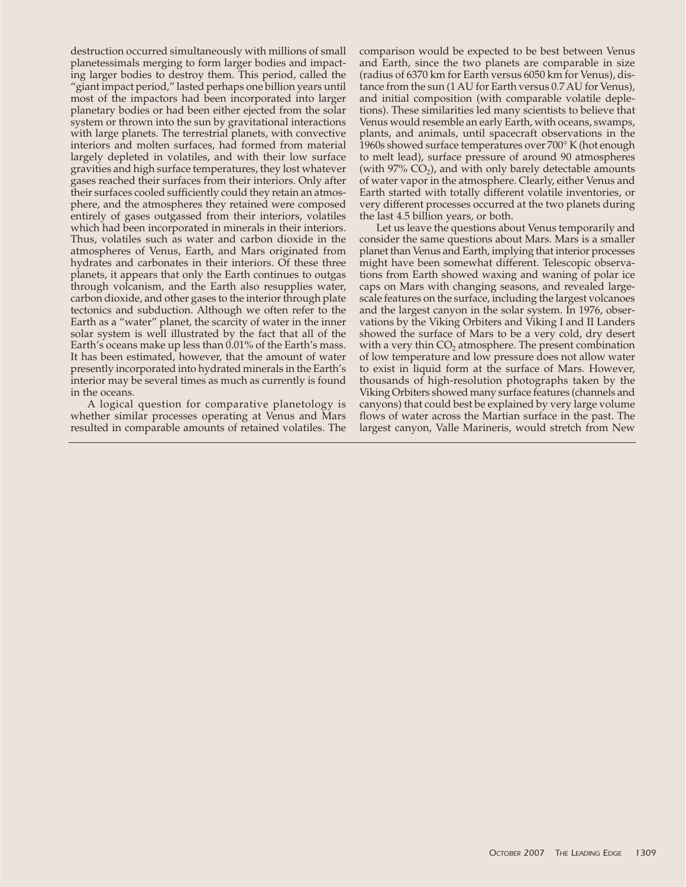destruction occurred simultaneously with millions of small planetessimals merging to form larger bodies and impacting larger bodies to destroy them. This period, called the "giant impact period," lasted perhaps one billion years until most of the impactors had been incorporated into larger planetary bodies or had been either ejected from the solar system or thrown into the sun by gravitational interactions with large planets. The terrestrial planets, with convective interiors and molten surfaces, had formed from material largely depleted in volatiles, and with their low surface gravities and high surface temperatures, they lost whatever gases reached their surfaces from their interiors. Only after their surfaces cooled sufficiently could they retain an atmosphere, and the atmospheres they retained were composed entirely of gases outgassed from their interiors, volatiles which had been incorporated in minerals in their interiors. Thus, volatiles such as water and carbon dioxide in the atmospheres of Venus, Earth, and Mars originated from hydrates and carbonates in their interiors. Of these three planets, it appears that only the Earth continues to outgas through volcanism, and the Earth also resupplies water, carbon dioxide, and other gases to the interior through plate tectonics and subduction. Although we often refer to the Earth as a "water" planet, the scarcity of water in the inner solar system is well illustrated by the fact that all of the Earth's oceans make up less than 0.01% of the Earth's mass. It has been estimated, however, that the amount of water presently incorporated into hydrated minerals in the Earth's interior may be several times as much as currently is found in the oceans.

A logical question for comparative planetology is whether similar processes operating at Venus and Mars resulted in comparable amounts of retained volatiles. The comparison would be expected to be best between Venus and Earth, since the two planets are comparable in size (radius of 6370 km for Earth versus 6050 km for Venus), distance from the sun (1 AU for Earth versus 0.7 AU for Venus), and initial composition (with comparable volatile depletions). These similarities led many scientists to believe that Venus would resemble an early Earth, with oceans, swamps, plants, and animals, until spacecraft observations in the 1960s showed surface temperatures over 700° K (hot enough to melt lead), surface pressure of around 90 atmospheres (with  $97\%$  CO<sub>2</sub>), and with only barely detectable amounts of water vapor in the atmosphere. Clearly, either Venus and Earth started with totally different volatile inventories, or very different processes occurred at the two planets during the last 4.5 billion years, or both.

Let us leave the questions about Venus temporarily and consider the same questions about Mars. Mars is a smaller planet than Venus and Earth, implying that interior processes might have been somewhat different. Telescopic observations from Earth showed waxing and waning of polar ice caps on Mars with changing seasons, and revealed largescale features on the surface, including the largest volcanoes and the largest canyon in the solar system. In 1976, observations by the Viking Orbiters and Viking I and II Landers showed the surface of Mars to be a very cold, dry desert with a very thin  $CO<sub>2</sub>$  atmosphere. The present combination of low temperature and low pressure does not allow water to exist in liquid form at the surface of Mars. However, thousands of high-resolution photographs taken by the Viking Orbiters showed many surface features (channels and canyons) that could best be explained by very large volume flows of water across the Martian surface in the past. The largest canyon, Valle Marineris, would stretch from New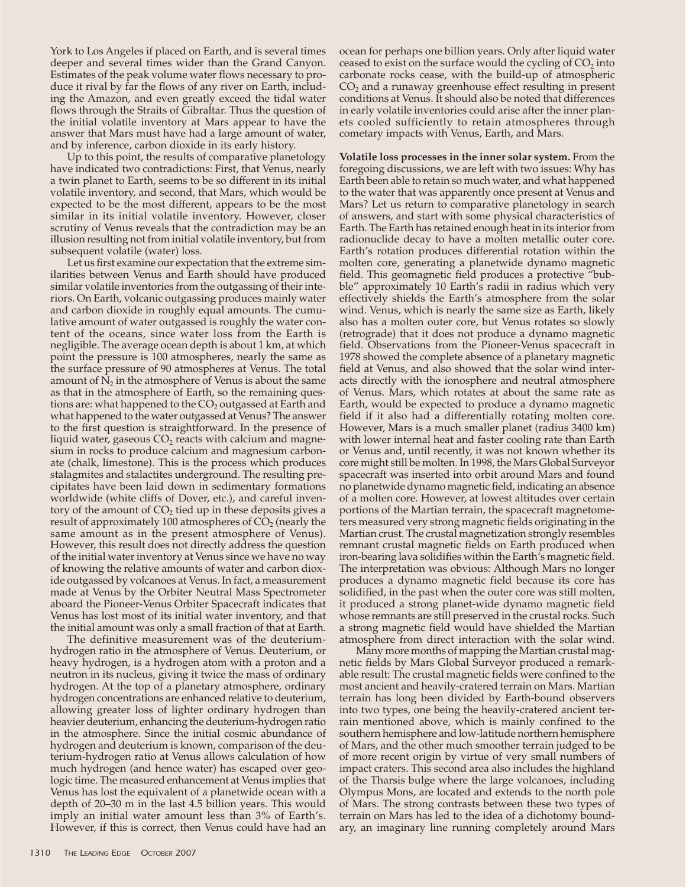York to Los Angeles if placed on Earth, and is several times deeper and several times wider than the Grand Canyon. Estimates of the peak volume water flows necessary to produce it rival by far the flows of any river on Earth, including the Amazon, and even greatly exceed the tidal water flows through the Straits of Gibraltar. Thus the question of the initial volatile inventory at Mars appear to have the answer that Mars must have had a large amount of water, and by inference, carbon dioxide in its early history.

Up to this point, the results of comparative planetology have indicated two contradictions: First, that Venus, nearly a twin planet to Earth, seems to be so different in its initial volatile inventory, and second, that Mars, which would be expected to be the most different, appears to be the most similar in its initial volatile inventory. However, closer scrutiny of Venus reveals that the contradiction may be an illusion resulting not from initial volatile inventory, but from subsequent volatile (water) loss.

Let us first examine our expectation that the extreme similarities between Venus and Earth should have produced similar volatile inventories from the outgassing of their interiors. On Earth, volcanic outgassing produces mainly water and carbon dioxide in roughly equal amounts. The cumulative amount of water outgassed is roughly the water content of the oceans, since water loss from the Earth is negligible. The average ocean depth is about 1 km, at which point the pressure is 100 atmospheres, nearly the same as the surface pressure of 90 atmospheres at Venus. The total amount of  $N<sub>2</sub>$  in the atmosphere of Venus is about the same as that in the atmosphere of Earth, so the remaining questions are: what happened to the  $CO<sub>2</sub>$  outgassed at Earth and what happened to the water outgassed at Venus? The answer to the first question is straightforward. In the presence of liquid water, gaseous  $CO<sub>2</sub>$  reacts with calcium and magnesium in rocks to produce calcium and magnesium carbonate (chalk, limestone). This is the process which produces stalagmites and stalactites underground. The resulting precipitates have been laid down in sedimentary formations worldwide (white cliffs of Dover, etc.), and careful inventory of the amount of  $CO<sub>2</sub>$  tied up in these deposits gives a result of approximately 100 atmospheres of  $CO<sub>2</sub>$  (nearly the same amount as in the present atmosphere of Venus). However, this result does not directly address the question of the initial water inventory at Venus since we have no way of knowing the relative amounts of water and carbon dioxide outgassed by volcanoes at Venus. In fact, a measurement made at Venus by the Orbiter Neutral Mass Spectrometer aboard the Pioneer-Venus Orbiter Spacecraft indicates that Venus has lost most of its initial water inventory, and that the initial amount was only a small fraction of that at Earth.

The definitive measurement was of the deuteriumhydrogen ratio in the atmosphere of Venus. Deuterium, or heavy hydrogen, is a hydrogen atom with a proton and a neutron in its nucleus, giving it twice the mass of ordinary hydrogen. At the top of a planetary atmosphere, ordinary hydrogen concentrations are enhanced relative to deuterium, allowing greater loss of lighter ordinary hydrogen than heavier deuterium, enhancing the deuterium-hydrogen ratio in the atmosphere. Since the initial cosmic abundance of hydrogen and deuterium is known, comparison of the deuterium-hydrogen ratio at Venus allows calculation of how much hydrogen (and hence water) has escaped over geologic time. The measured enhancement at Venus implies that Venus has lost the equivalent of a planetwide ocean with a depth of 20–30 m in the last 4.5 billion years. This would imply an initial water amount less than 3% of Earth's. However, if this is correct, then Venus could have had an

ocean for perhaps one billion years. Only after liquid water ceased to exist on the surface would the cycling of  $CO<sub>2</sub>$  into carbonate rocks cease, with the build-up of atmospheric  $CO<sub>2</sub>$  and a runaway greenhouse effect resulting in present conditions at Venus. It should also be noted that differences in early volatile inventories could arise after the inner planets cooled sufficiently to retain atmospheres through cometary impacts with Venus, Earth, and Mars.

**Volatile loss processes in the inner solar system.** From the foregoing discussions, we are left with two issues: Why has Earth been able to retain so much water, and what happened to the water that was apparently once present at Venus and Mars? Let us return to comparative planetology in search of answers, and start with some physical characteristics of Earth. The Earth has retained enough heat in its interior from radionuclide decay to have a molten metallic outer core. Earth's rotation produces differential rotation within the molten core, generating a planetwide dynamo magnetic field. This geomagnetic field produces a protective "bubble" approximately 10 Earth's radii in radius which very effectively shields the Earth's atmosphere from the solar wind. Venus, which is nearly the same size as Earth, likely also has a molten outer core, but Venus rotates so slowly (retrograde) that it does not produce a dynamo magnetic field. Observations from the Pioneer-Venus spacecraft in 1978 showed the complete absence of a planetary magnetic field at Venus, and also showed that the solar wind interacts directly with the ionosphere and neutral atmosphere of Venus. Mars, which rotates at about the same rate as Earth, would be expected to produce a dynamo magnetic field if it also had a differentially rotating molten core. However, Mars is a much smaller planet (radius 3400 km) with lower internal heat and faster cooling rate than Earth or Venus and, until recently, it was not known whether its core might still be molten. In 1998, the Mars Global Surveyor spacecraft was inserted into orbit around Mars and found no planetwide dynamo magnetic field, indicating an absence of a molten core. However, at lowest altitudes over certain portions of the Martian terrain, the spacecraft magnetometers measured very strong magnetic fields originating in the Martian crust. The crustal magnetization strongly resembles remnant crustal magnetic fields on Earth produced when iron-bearing lava solidifies within the Earth's magnetic field. The interpretation was obvious: Although Mars no longer produces a dynamo magnetic field because its core has solidified, in the past when the outer core was still molten, it produced a strong planet-wide dynamo magnetic field whose remnants are still preserved in the crustal rocks. Such a strong magnetic field would have shielded the Martian atmosphere from direct interaction with the solar wind.

Many more months of mapping the Martian crustal magnetic fields by Mars Global Surveyor produced a remarkable result: The crustal magnetic fields were confined to the most ancient and heavily-cratered terrain on Mars. Martian terrain has long been divided by Earth-bound observers into two types, one being the heavily-cratered ancient terrain mentioned above, which is mainly confined to the southern hemisphere and low-latitude northern hemisphere of Mars, and the other much smoother terrain judged to be of more recent origin by virtue of very small numbers of impact craters. This second area also includes the highland of the Tharsis bulge where the large volcanoes, including Olympus Mons, are located and extends to the north pole of Mars. The strong contrasts between these two types of terrain on Mars has led to the idea of a dichotomy boundary, an imaginary line running completely around Mars